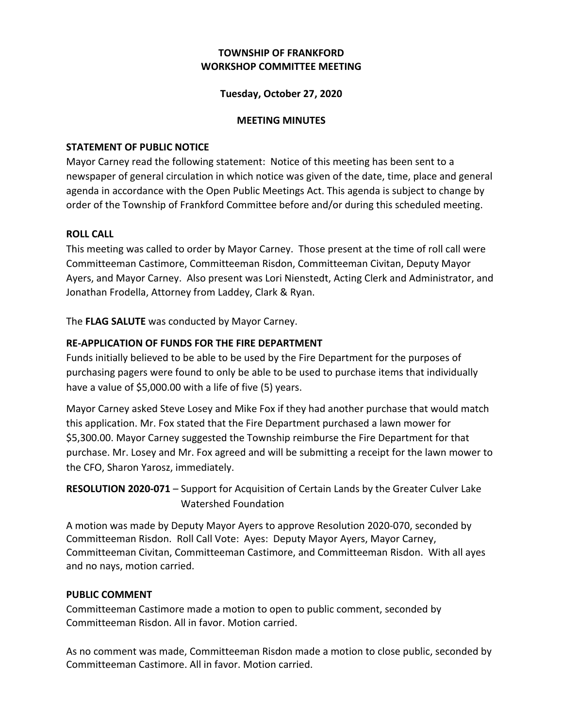# **WORKSHOP COMMITTEE MEETING TOWNSHIP OF FRANKFORD**

# **Tuesday, October 27, 2020**

### **MEETING MINUTES**

### **STATEMENT OF PUBLIC NOTICE**

Mayor Carney read the following statement: Notice of this meeting has been sent to a newspaper of general circulation in which notice was given of the date, time, place and general agenda in accordance with the Open Public Meetings Act. This agenda is subject to change by order of the Township of Frankford Committee before and/or during this scheduled meeting.

## **ROLL CALL**

This meeting was called to order by Mayor Carney. Those present at the time of roll call were Committeeman Castimore, Committeeman Risdon, Committeeman Civitan, Deputy Mayor Ayers, and Mayor Carney. Also present was Lori Nienstedt, Acting Clerk and Administrator, and Jonathan Frodella, Attorney from Laddey, Clark & Ryan.

The FLAG SALUTE was conducted by Mayor Carney.

# **RE-APPLICATION OF FUNDS FOR THE FIRE DEPARTMENT**

Funds initially believed to be able to be used by the Fire Department for the purposes of purchasing pagers were found to only be able to be used to purchase items that individually have a value of \$5,000.00 with a life of five (5) years.

Mayor Carney asked Steve Losey and Mike Fox if they had another purchase that would match this application. Mr. Fox stated that the Fire Department purchased a lawn mower for \$5,300.00. Mayor Carney suggested the Township reimburse the Fire Department for that purchase. Mr. Losey and Mr. Fox agreed and will be submitting a receipt for the lawn mower to the CFO, Sharon Yarosz, immediately.

RESOLUTION 2020-071 - Support for Acquisition of Certain Lands by the Greater Culver Lake Watershed Foundation

A motion was made by Deputy Mayor Ayers to approve Resolution 2020-070, seconded by Committeeman Risdon. Roll Call Vote: Ayes: Deputy Mayor Ayers, Mayor Carney, Committeeman Civitan, Committeeman Castimore, and Committeeman Risdon. With all ayes and no nays, motion carried.

#### **PUBLIC COMMENT**

Committeeman Castimore made a motion to open to public comment, seconded by Committeeman Risdon. All in favor. Motion carried.

As no comment was made, Committeeman Risdon made a motion to close public, seconded by Committeeman Castimore. All in favor. Motion carried.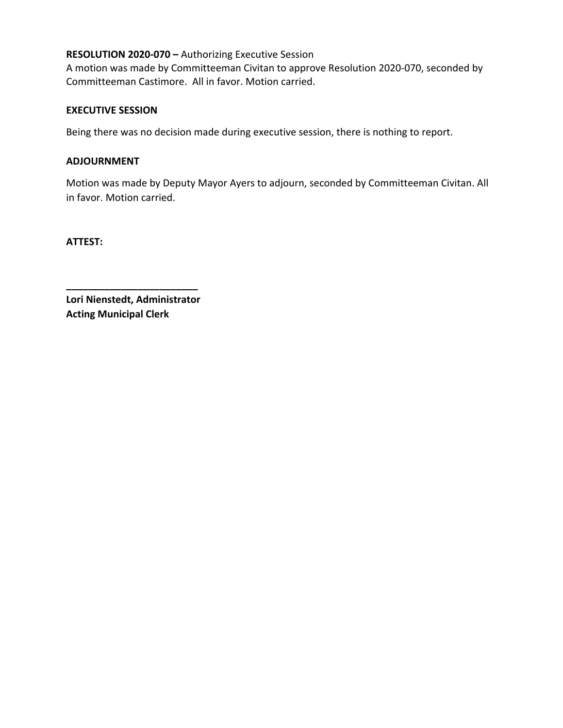## RESOLUTION 2020-070 - Authorizing Executive Session

A motion was made by Committeeman Civitan to approve Resolution 2020-070, seconded by Committeeman Castimore. All in favor. Motion carried.

### **EXECUTIVE SESSION**

 Being there was no decision made during executive session, there is nothing to report.

# **ADJOURNMENT**

 Motion was made by Deputy Mayor Ayers to adjourn, seconded by Committeeman Civitan. All in favor. Motion carried.

**ATTEST:**

 **Lori Nienstedt, Administrator Acting Municipal Clerk**

**\_\_\_\_\_\_\_\_\_\_\_\_\_\_\_\_\_\_\_\_\_\_\_\_**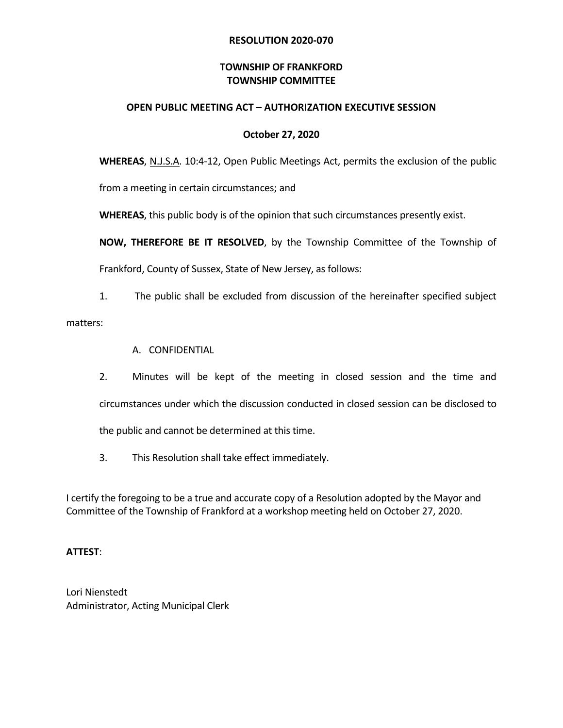# **RESOLUTION 2020-070**

# **TOWNSHIP OF FRANKFORD TOWNSHIP COMMITTEE**

#### **OPEN PUBLIC MEETING ACT – AUTHORIZATION EXECUTIVE SESSION**

#### **October 27, 2020**

**WHEREAS**, N.J.S.A. 10:4-12, Open Public Meetings Act, permits the exclusion of the public

from a meeting in certain circumstances; and

WHEREAS, this public body is of the opinion that such circumstances presently exist.

**NOW, THEREFORE BE IT RESOLVED,** by the Township Committee of the Township of

Frankford, County of Sussex, State of New Jersey, as follows:

1. The public shall be excluded from discussion of the hereinafter specified subject

matters: 

- A. CONFIDENTIAL
- circumstances under which the discussion conducted in closed session can be disclosed to 2. Minutes will be kept of the meeting in closed session and the time and the public and cannot be determined at this time.
- 3. This Resolution shall take effect immediately.

I certify the foregoing to be a true and accurate copy of a Resolution adopted by the Mayor and Committee of the Township of Frankford at a workshop meeting held on October 27, 2020.

#### **ATTEST**:

Lori Nienstedt Administrator, Acting Municipal Clerk